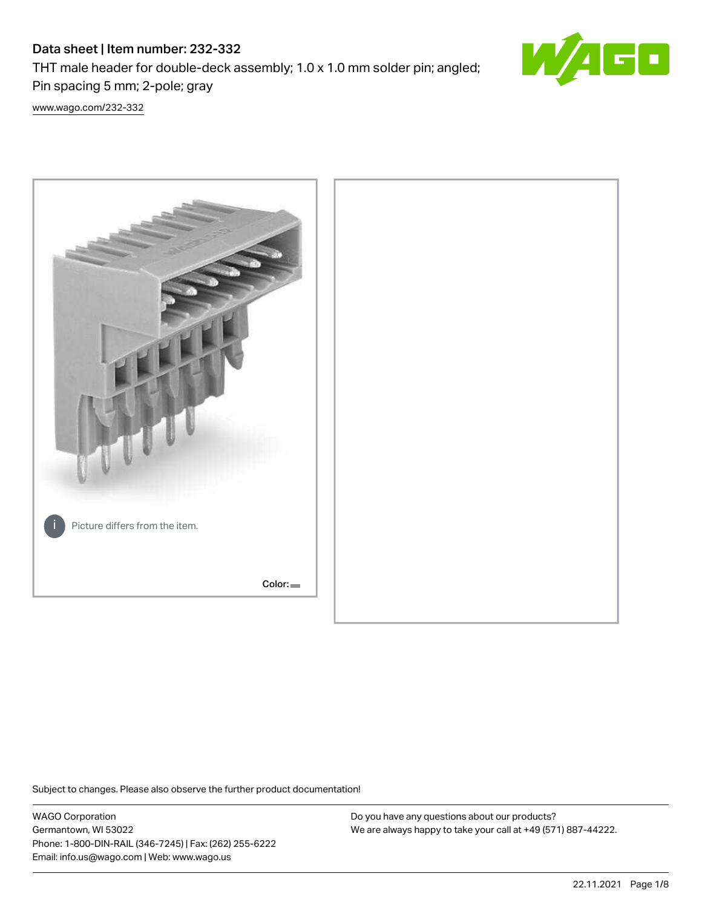# Data sheet | Item number: 232-332

THT male header for double-deck assembly; 1.0 x 1.0 mm solder pin; angled; Pin spacing 5 mm; 2-pole; gray



[www.wago.com/232-332](http://www.wago.com/232-332)



Subject to changes. Please also observe the further product documentation!

WAGO Corporation Germantown, WI 53022 Phone: 1-800-DIN-RAIL (346-7245) | Fax: (262) 255-6222 Email: info.us@wago.com | Web: www.wago.us

Do you have any questions about our products? We are always happy to take your call at +49 (571) 887-44222.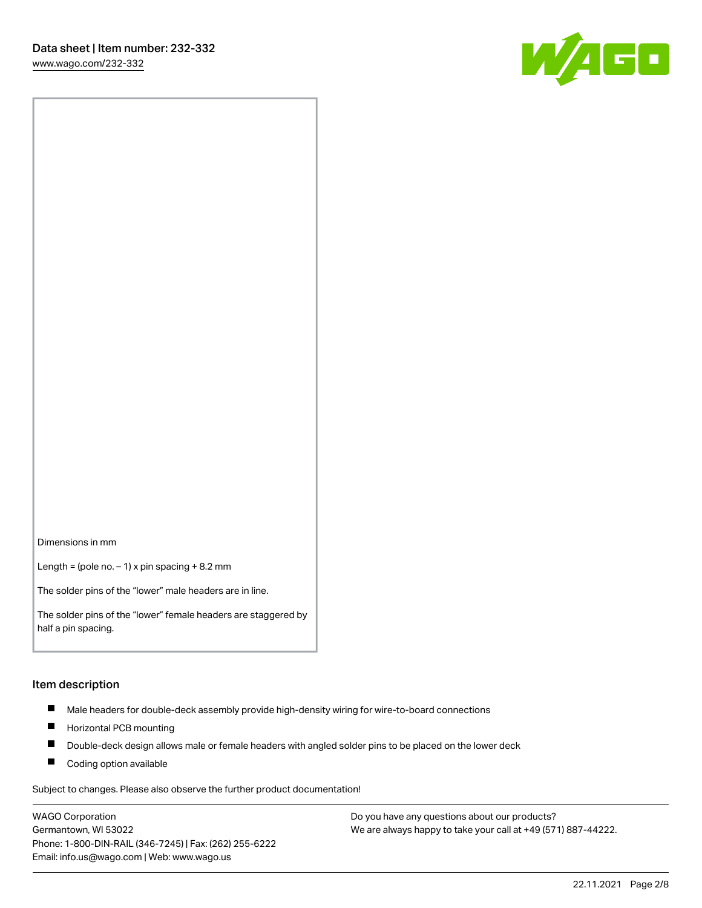

Dimensions in mm

Length = (pole no.  $-1$ ) x pin spacing + 8.2 mm

The solder pins of the "lower" male headers are in line.

The solder pins of the "lower" female headers are staggered by half a pin spacing.

#### Item description

- $\blacksquare$ Male headers for double-deck assembly provide high-density wiring for wire-to-board connections
- $\blacksquare$ Horizontal PCB mounting
- $\blacksquare$ Double-deck design allows male or female headers with angled solder pins to be placed on the lower deck
- $\blacksquare$ Coding option available

Subject to changes. Please also observe the further product documentation!

WAGO Corporation Germantown, WI 53022 Phone: 1-800-DIN-RAIL (346-7245) | Fax: (262) 255-6222 Email: info.us@wago.com | Web: www.wago.us

Do you have any questions about our products? We are always happy to take your call at +49 (571) 887-44222.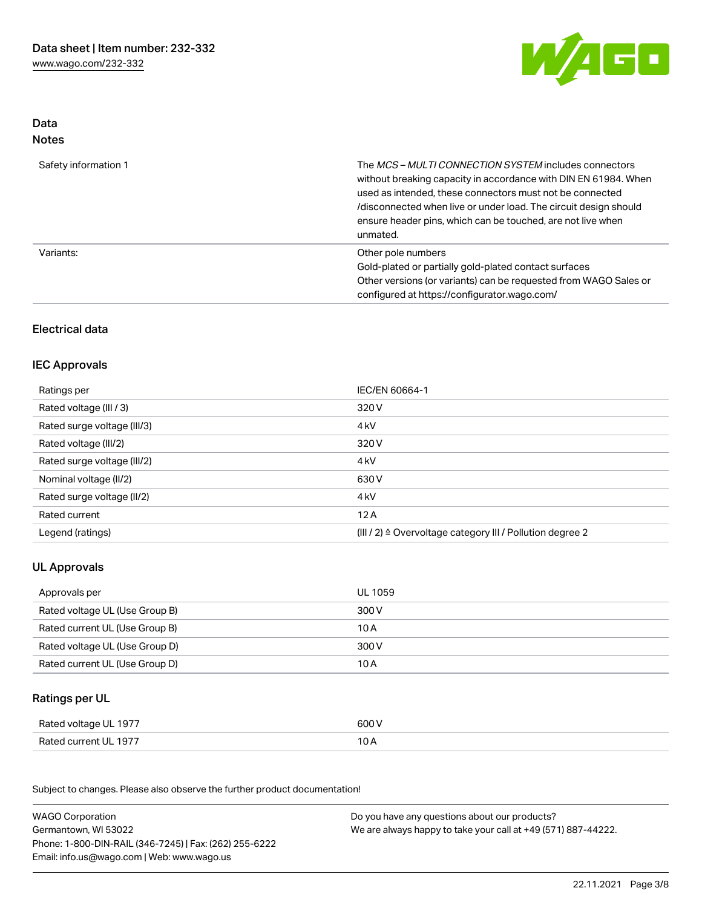

## Data Notes

| Safety information 1 | The <i>MCS – MULTI CONNECTION SYSTEM</i> includes connectors<br>without breaking capacity in accordance with DIN EN 61984. When<br>used as intended, these connectors must not be connected<br>/disconnected when live or under load. The circuit design should<br>ensure header pins, which can be touched, are not live when<br>unmated. |
|----------------------|--------------------------------------------------------------------------------------------------------------------------------------------------------------------------------------------------------------------------------------------------------------------------------------------------------------------------------------------|
| Variants:            | Other pole numbers<br>Gold-plated or partially gold-plated contact surfaces<br>Other versions (or variants) can be requested from WAGO Sales or<br>configured at https://configurator.wago.com/                                                                                                                                            |

## Electrical data

## IEC Approvals

| Ratings per                 | IEC/EN 60664-1                                                        |
|-----------------------------|-----------------------------------------------------------------------|
| Rated voltage (III / 3)     | 320 V                                                                 |
| Rated surge voltage (III/3) | 4 <sub>k</sub> V                                                      |
| Rated voltage (III/2)       | 320 V                                                                 |
| Rated surge voltage (III/2) | 4 <sub>k</sub> V                                                      |
| Nominal voltage (II/2)      | 630 V                                                                 |
| Rated surge voltage (II/2)  | 4 <sub>kV</sub>                                                       |
| Rated current               | 12A                                                                   |
| Legend (ratings)            | $(III / 2)$ $\triangle$ Overvoltage category III / Pollution degree 2 |

# UL Approvals

| Approvals per                  | UL 1059 |
|--------------------------------|---------|
| Rated voltage UL (Use Group B) | 300 V   |
| Rated current UL (Use Group B) | 10 A    |
| Rated voltage UL (Use Group D) | 300 V   |
| Rated current UL (Use Group D) | 10 A    |

# Ratings per UL

| Rated voltage UL 1977 | 600 V          |
|-----------------------|----------------|
| Rated current UL 1977 | 1 O A<br>, U H |

Subject to changes. Please also observe the further product documentation!

| <b>WAGO Corporation</b>                                | Do you have any questions about our products?                 |
|--------------------------------------------------------|---------------------------------------------------------------|
| Germantown, WI 53022                                   | We are always happy to take your call at +49 (571) 887-44222. |
| Phone: 1-800-DIN-RAIL (346-7245)   Fax: (262) 255-6222 |                                                               |
| Email: info.us@wago.com   Web: www.wago.us             |                                                               |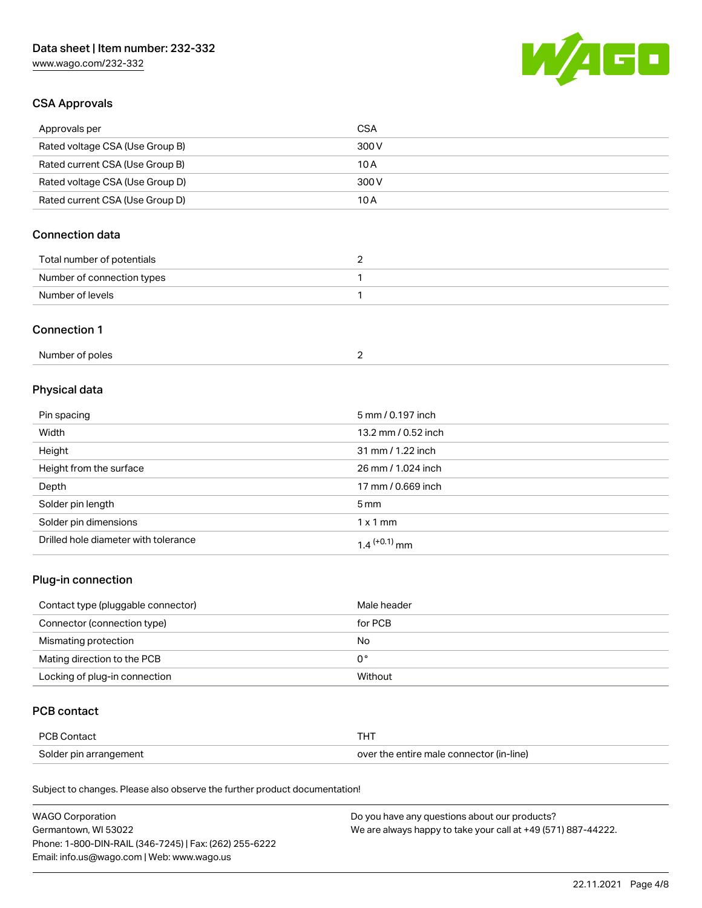# Data sheet | Item number: 232-332

[www.wago.com/232-332](http://www.wago.com/232-332)



## CSA Approvals

| Approvals per                   | CSA   |
|---------------------------------|-------|
| Rated voltage CSA (Use Group B) | 300 V |
| Rated current CSA (Use Group B) | 10 A  |
| Rated voltage CSA (Use Group D) | 300 V |
| Rated current CSA (Use Group D) | 10 A  |

## Connection data

| Total number of potentials |  |
|----------------------------|--|
| Number of connection types |  |
| Number of levels           |  |

#### Connection 1

| Number of poles |  |
|-----------------|--|
|-----------------|--|

# Physical data

| Pin spacing                          | 5 mm / 0.197 inch   |
|--------------------------------------|---------------------|
| Width                                | 13.2 mm / 0.52 inch |
| Height                               | 31 mm / 1.22 inch   |
| Height from the surface              | 26 mm / 1.024 inch  |
| Depth                                | 17 mm / 0.669 inch  |
| Solder pin length                    | $5 \,\mathrm{mm}$   |
| Solder pin dimensions                | $1 \times 1$ mm     |
| Drilled hole diameter with tolerance | $1.4$ $(+0.1)$ mm   |

## Plug-in connection

| Contact type (pluggable connector) | Male header |
|------------------------------------|-------------|
| Connector (connection type)        | for PCB     |
| Mismating protection               | No          |
| Mating direction to the PCB        | 0°          |
| Locking of plug-in connection      | Without     |

#### PCB contact

| <b>PCB Contact</b>     | <b>THT</b>                               |
|------------------------|------------------------------------------|
| Solder pin arrangement | over the entire male connector (in-line) |

Subject to changes. Please also observe the further product documentation!

| <b>WAGO Corporation</b>                                | Do you have any questions about our products?                 |
|--------------------------------------------------------|---------------------------------------------------------------|
| Germantown, WI 53022                                   | We are always happy to take your call at +49 (571) 887-44222. |
| Phone: 1-800-DIN-RAIL (346-7245)   Fax: (262) 255-6222 |                                                               |
| Email: info.us@wago.com   Web: www.wago.us             |                                                               |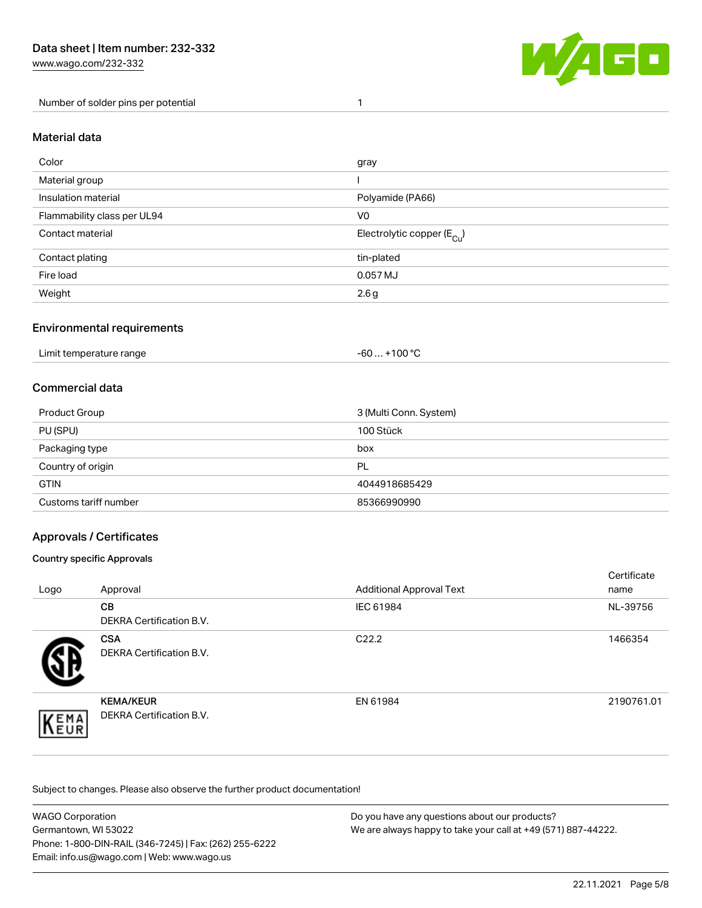[www.wago.com/232-332](http://www.wago.com/232-332)

Number of solder pins per potential 1



#### Material data

| Color                       | gray                                    |
|-----------------------------|-----------------------------------------|
| Material group              |                                         |
| Insulation material         | Polyamide (PA66)                        |
| Flammability class per UL94 | V <sub>0</sub>                          |
| Contact material            | Electrolytic copper ( $E_{\text{Cu}}$ ) |
| Contact plating             | tin-plated                              |
| Fire load                   | 0.057 MJ                                |
| Weight                      | 2.6g                                    |

#### Environmental requirements

Limit temperature range  $-60... +100$  °C

#### Commercial data

| Product Group         | 3 (Multi Conn. System) |
|-----------------------|------------------------|
| PU (SPU)              | 100 Stück              |
| Packaging type        | box                    |
| Country of origin     | PL                     |
| <b>GTIN</b>           | 4044918685429          |
| Customs tariff number | 85366990990            |

## Approvals / Certificates

#### Country specific Approvals

| Logo               | Approval                                            | <b>Additional Approval Text</b> | Certificate<br>name |
|--------------------|-----------------------------------------------------|---------------------------------|---------------------|
|                    | <b>CB</b><br><b>DEKRA Certification B.V.</b>        | IEC 61984                       | NL-39756            |
|                    | <b>CSA</b><br>DEKRA Certification B.V.              | C <sub>22.2</sub>               | 1466354             |
| EMA<br><b>NEUR</b> | <b>KEMA/KEUR</b><br><b>DEKRA Certification B.V.</b> | EN 61984                        | 2190761.01          |

Subject to changes. Please also observe the further product documentation!

| <b>WAGO Corporation</b>                                | Do you have any questions about our products?                 |
|--------------------------------------------------------|---------------------------------------------------------------|
| Germantown, WI 53022                                   | We are always happy to take your call at +49 (571) 887-44222. |
| Phone: 1-800-DIN-RAIL (346-7245)   Fax: (262) 255-6222 |                                                               |
| Email: info.us@wago.com   Web: www.wago.us             |                                                               |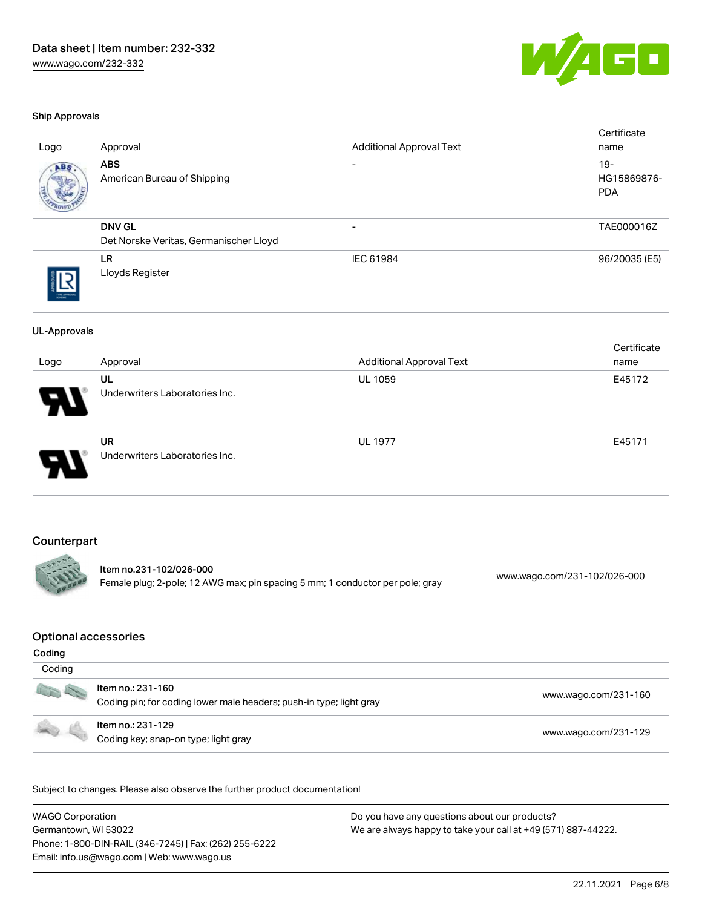

#### Ship Approvals

| Logo                                            | Approval                                                                                 | <b>Additional Approval Text</b>                   | Certificate<br>name                 |
|-------------------------------------------------|------------------------------------------------------------------------------------------|---------------------------------------------------|-------------------------------------|
|                                                 | <b>ABS</b><br>American Bureau of Shipping                                                |                                                   | $19 -$<br>HG15869876-<br><b>PDA</b> |
|                                                 | <b>DNV GL</b><br>Det Norske Veritas, Germanischer Lloyd                                  |                                                   | TAE000016Z                          |
|                                                 | LR<br>Lloyds Register                                                                    | IEC 61984                                         | 96/20035 (E5)                       |
| <b>UL-Approvals</b>                             |                                                                                          |                                                   | Certificate                         |
| Logo                                            | Approval<br>UL<br>Underwriters Laboratories Inc.                                         | <b>Additional Approval Text</b><br><b>UL 1059</b> | name<br>E45172                      |
|                                                 | <b>UR</b><br>Underwriters Laboratories Inc.                                              | <b>UL 1977</b>                                    | E45171                              |
| Counterpart                                     | Item no.231-102/026-000                                                                  |                                                   | www.wago.com/231-102/026-000        |
|                                                 | Female plug; 2-pole; 12 AWG max; pin spacing 5 mm; 1 conductor per pole; gray            |                                                   |                                     |
| <b>Optional accessories</b><br>Coding<br>Coding |                                                                                          |                                                   |                                     |
|                                                 | Item no.: 231-160<br>Coding pin; for coding lower male headers; push-in type; light gray |                                                   | www.wago.com/231-160                |
|                                                 | Item no.: 231-129<br>www.wago.com/231-129<br>Coding key; snap-on type; light gray        |                                                   |                                     |

Subject to changes. Please also observe the further product documentation!

WAGO Corporation Germantown, WI 53022 Phone: 1-800-DIN-RAIL (346-7245) | Fax: (262) 255-6222 Email: info.us@wago.com | Web: www.wago.us Do you have any questions about our products? We are always happy to take your call at +49 (571) 887-44222.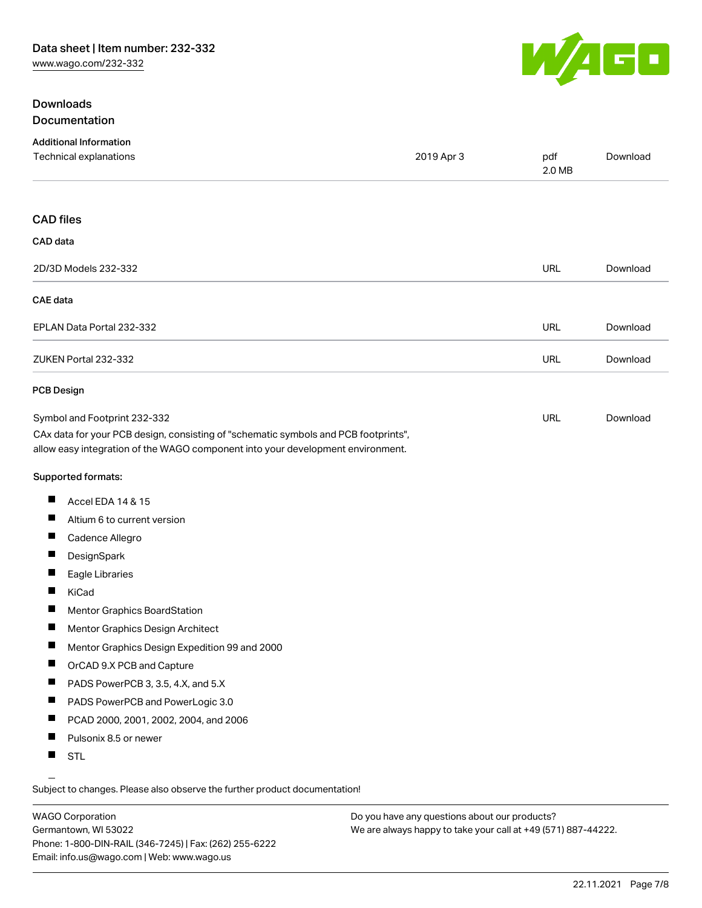## Downloads Documentation



| <b>Additional Information</b><br>Technical explanations                                                                                                                                                | 2019 Apr 3 | pdf<br>2.0 MB | Download |
|--------------------------------------------------------------------------------------------------------------------------------------------------------------------------------------------------------|------------|---------------|----------|
| <b>CAD files</b>                                                                                                                                                                                       |            |               |          |
| CAD data                                                                                                                                                                                               |            |               |          |
| 2D/3D Models 232-332                                                                                                                                                                                   |            | <b>URL</b>    | Download |
| CAE data                                                                                                                                                                                               |            |               |          |
| EPLAN Data Portal 232-332                                                                                                                                                                              |            | <b>URL</b>    | Download |
| ZUKEN Portal 232-332                                                                                                                                                                                   |            | <b>URL</b>    | Download |
| <b>PCB Design</b>                                                                                                                                                                                      |            |               |          |
| Symbol and Footprint 232-332<br>CAx data for your PCB design, consisting of "schematic symbols and PCB footprints",<br>allow easy integration of the WAGO component into your development environment. |            | <b>URL</b>    | Download |
| Supported formats:                                                                                                                                                                                     |            |               |          |
| ш<br>Accel EDA 14 & 15                                                                                                                                                                                 |            |               |          |
| Altium 6 to current version<br>ш                                                                                                                                                                       |            |               |          |
| ш<br>Cadence Allegro                                                                                                                                                                                   |            |               |          |
| ш<br>DesignSpark                                                                                                                                                                                       |            |               |          |
| H<br>Eagle Libraries                                                                                                                                                                                   |            |               |          |
| ш<br>KiCad                                                                                                                                                                                             |            |               |          |
| Mentor Graphics BoardStation<br>ш                                                                                                                                                                      |            |               |          |
| ш<br>Mentor Graphics Design Architect                                                                                                                                                                  |            |               |          |
| ш<br>Mentor Graphics Design Expedition 99 and 2000                                                                                                                                                     |            |               |          |
| Ш<br>OrCAD 9.X PCB and Capture                                                                                                                                                                         |            |               |          |
| PADS PowerPCB 3, 3.5, 4.X, and 5.X<br>ш                                                                                                                                                                |            |               |          |
| ш<br>PADS PowerPCB and PowerLogic 3.0                                                                                                                                                                  |            |               |          |
| PCAD 2000, 2001, 2002, 2004, and 2006                                                                                                                                                                  |            |               |          |
| Pulsonix 8.5 or newer<br><b>The Contract of the Contract of the Contract of the Contract of the Contract of the Contract of the Contract o</b>                                                         |            |               |          |
| <b>STL</b><br>ш                                                                                                                                                                                        |            |               |          |

Subject to changes. Please also observe the further product documentation!

WAGO Corporation Germantown, WI 53022 Phone: 1-800-DIN-RAIL (346-7245) | Fax: (262) 255-6222 Email: info.us@wago.com | Web: www.wago.us

Do you have any questions about our products? We are always happy to take your call at +49 (571) 887-44222.